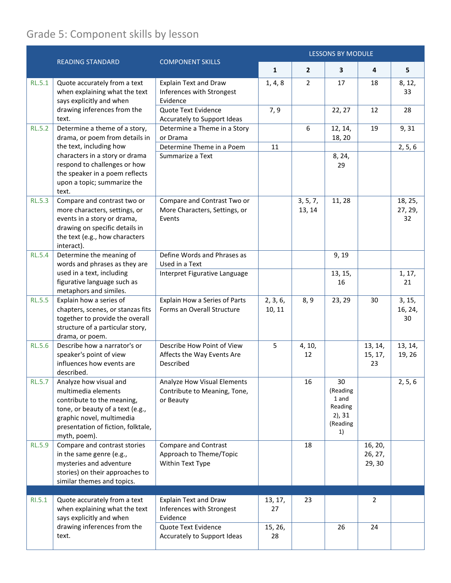## Grade 5: Component skills by lesson

|               | <b>READING STANDARD</b>                                                                                                                                                                                                                | <b>COMPONENT SKILLS</b>                                                    | <b>LESSONS BY MODULE</b> |                    |                                                                   |                              |                          |  |
|---------------|----------------------------------------------------------------------------------------------------------------------------------------------------------------------------------------------------------------------------------------|----------------------------------------------------------------------------|--------------------------|--------------------|-------------------------------------------------------------------|------------------------------|--------------------------|--|
|               |                                                                                                                                                                                                                                        |                                                                            | $\mathbf{1}$             | $\overline{2}$     | 3                                                                 | 4                            | 5                        |  |
| <b>RL.5.1</b> | Quote accurately from a text<br>when explaining what the text<br>says explicitly and when<br>drawing inferences from the<br>text.                                                                                                      | <b>Explain Text and Draw</b><br>Inferences with Strongest<br>Evidence      | 1, 4, 8                  | $\overline{2}$     | 17                                                                | 18                           | 8, 12,<br>33             |  |
|               |                                                                                                                                                                                                                                        | Quote Text Evidence<br>Accurately to Support Ideas                         | 7, 9                     |                    | 22, 27                                                            | 12                           | 28                       |  |
| <b>RL.5.2</b> | Determine a theme of a story,<br>drama, or poem from details in<br>the text, including how<br>characters in a story or drama<br>respond to challenges or how<br>the speaker in a poem reflects<br>upon a topic; summarize the<br>text. | Determine a Theme in a Story<br>or Drama                                   |                          | 6                  | 12, 14,<br>18, 20                                                 | 19                           | 9,31                     |  |
|               |                                                                                                                                                                                                                                        | Determine Theme in a Poem<br>Summarize a Text                              | 11                       |                    | 8, 24,<br>29                                                      |                              | 2, 5, 6                  |  |
|               |                                                                                                                                                                                                                                        |                                                                            |                          |                    |                                                                   |                              |                          |  |
| <b>RL.5.3</b> | Compare and contrast two or<br>more characters, settings, or<br>events in a story or drama,<br>drawing on specific details in<br>the text (e.g., how characters<br>interact).                                                          | Compare and Contrast Two or<br>More Characters, Settings, or<br>Events     |                          | 3, 5, 7,<br>13, 14 | 11, 28                                                            |                              | 18, 25,<br>27, 29,<br>32 |  |
| <b>RL.5.4</b> | Determine the meaning of<br>words and phrases as they are<br>used in a text, including<br>figurative language such as<br>metaphors and similes.                                                                                        | Define Words and Phrases as<br>Used in a Text                              |                          |                    | 9, 19                                                             |                              |                          |  |
|               |                                                                                                                                                                                                                                        | Interpret Figurative Language                                              |                          |                    | 13, 15,<br>16                                                     |                              | 1, 17,<br>21             |  |
| <b>RL.5.5</b> | Explain how a series of<br>chapters, scenes, or stanzas fits<br>together to provide the overall<br>structure of a particular story,<br>drama, or poem.                                                                                 | Explain How a Series of Parts<br>Forms an Overall Structure                | 2, 3, 6,<br>10, 11       | 8, 9               | 23, 29                                                            | 30                           | 3, 15,<br>16, 24,<br>30  |  |
| <b>RL.5.6</b> | Describe how a narrator's or<br>speaker's point of view<br>influences how events are<br>described.                                                                                                                                     | Describe How Point of View<br>Affects the Way Events Are<br>Described      | 5                        | 4, 10,<br>12       |                                                                   | 13, 14,<br>15, 17,<br>23     | 13, 14,<br>19, 26        |  |
| <b>RL.5.7</b> | Analyze how visual and<br>multimedia elements<br>contribute to the meaning,<br>tone, or beauty of a text (e.g.,<br>graphic novel, multimedia<br>presentation of fiction, folktale,<br>myth, poem).                                     | Analyze How Visual Elements<br>Contribute to Meaning, Tone,<br>or Beauty   |                          | 16                 | 30<br>(Reading<br>1 and<br>Reading<br>$2)$ , 31<br>(Reading<br>1) |                              | 2, 5, 6                  |  |
| <b>RL.5.9</b> | Compare and contrast stories<br>in the same genre (e.g.,<br>mysteries and adventure<br>stories) on their approaches to<br>similar themes and topics.                                                                                   | <b>Compare and Contrast</b><br>Approach to Theme/Topic<br>Within Text Type |                          | 18                 |                                                                   | 16, 20,<br>26, 27,<br>29, 30 |                          |  |
|               |                                                                                                                                                                                                                                        |                                                                            |                          |                    |                                                                   |                              |                          |  |
| RI.5.1        | Quote accurately from a text<br>when explaining what the text<br>says explicitly and when<br>drawing inferences from the<br>text.                                                                                                      | <b>Explain Text and Draw</b><br>Inferences with Strongest<br>Evidence      | 13, 17,<br>27            | 23                 |                                                                   | 2                            |                          |  |
|               |                                                                                                                                                                                                                                        | Quote Text Evidence<br>Accurately to Support Ideas                         | 15, 26,<br>28            |                    | 26                                                                | 24                           |                          |  |